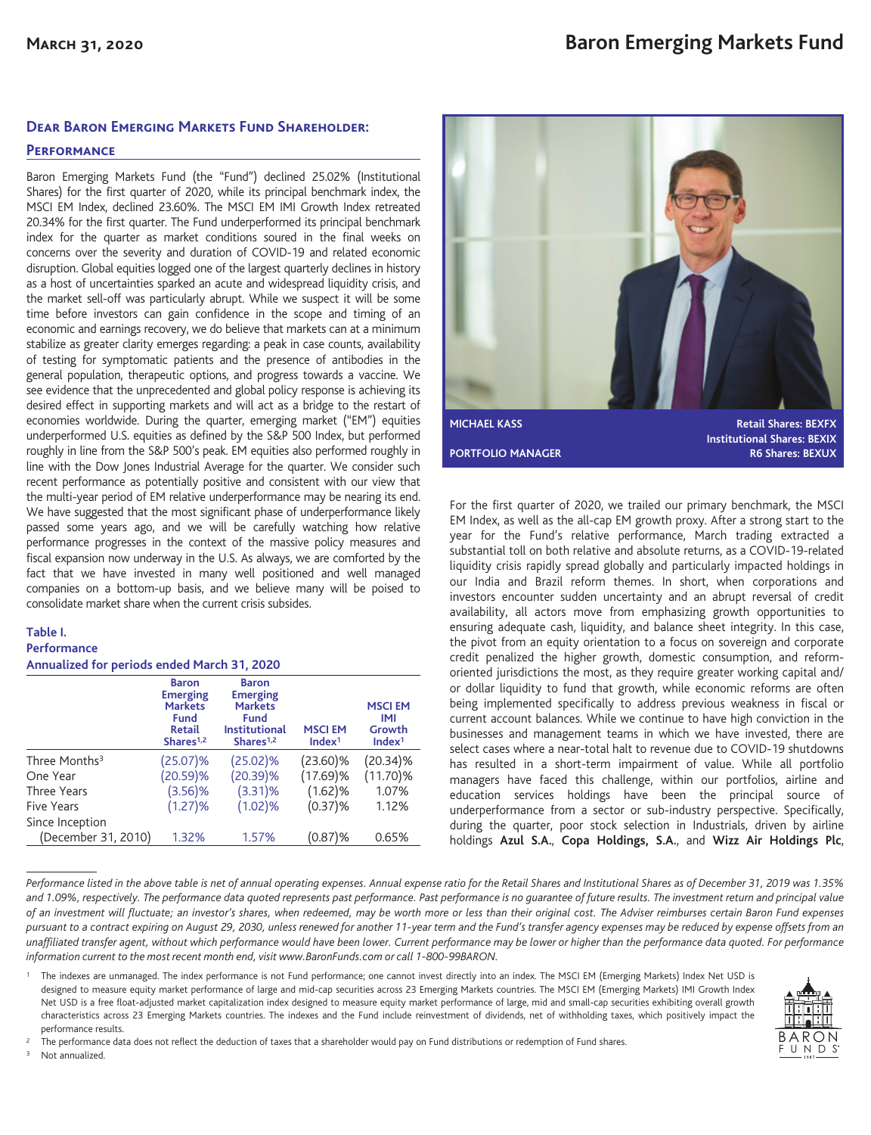## **Dear Baron Emerging Markets Fund Shareholder:**

### **Performance**

Baron Emerging Markets Fund (the "Fund") declined 25.02% (Institutional Shares) for the first quarter of 2020, while its principal benchmark index, the MSCI EM Index, declined 23.60%. The MSCI EM IMI Growth Index retreated 20.34% for the first quarter. The Fund underperformed its principal benchmark index for the quarter as market conditions soured in the final weeks on concerns over the severity and duration of COVID-19 and related economic disruption. Global equities logged one of the largest quarterly declines in history as a host of uncertainties sparked an acute and widespread liquidity crisis, and the market sell-off was particularly abrupt. While we suspect it will be some time before investors can gain confidence in the scope and timing of an economic and earnings recovery, we do believe that markets can at a minimum stabilize as greater clarity emerges regarding: a peak in case counts, availability of testing for symptomatic patients and the presence of antibodies in the general population, therapeutic options, and progress towards a vaccine. We see evidence that the unprecedented and global policy response is achieving its desired effect in supporting markets and will act as a bridge to the restart of economies worldwide. During the quarter, emerging market ("EM") equities underperformed U.S. equities as defined by the S&P 500 Index, but performed roughly in line from the S&P 500's peak. EM equities also performed roughly in line with the Dow Jones Industrial Average for the quarter. We consider such recent performance as potentially positive and consistent with our view that the multi-year period of EM relative underperformance may be nearing its end. We have suggested that the most significant phase of underperformance likely passed some years ago, and we will be carefully watching how relative performance progresses in the context of the massive policy measures and fiscal expansion now underway in the U.S. As always, we are comforted by the fact that we have invested in many well positioned and well managed companies on a bottom-up basis, and we believe many will be poised to consolidate market share when the current crisis subsides.

### **Table I. Performance Annualized for periods ended March 31, 2020**

|                           | <b>Baron</b><br><b>Emerging</b><br><b>Markets</b><br>Fund<br><b>Retail</b><br>Shares <sup>1,2</sup> | <b>Baron</b><br><b>Emerging</b><br><b>Markets</b><br>Fund<br><b>Institutional</b><br>Shares <sup>1,2</sup> | <b>MSCIEM</b><br>Index <sup>1</sup> | <b>MSCIEM</b><br>IMI<br>Growth<br>Index <sup>1</sup> |
|---------------------------|-----------------------------------------------------------------------------------------------------|------------------------------------------------------------------------------------------------------------|-------------------------------------|------------------------------------------------------|
| Three Months <sup>3</sup> | $(25.07)\%$                                                                                         | $(25.02)\%$                                                                                                | $(23.60)\%$                         | $(20.34)\%$                                          |
| One Year                  | (20.59)%                                                                                            | $(20.39)\%$                                                                                                | $(17.69)$ %                         | $(11.70)\%$                                          |
| Three Years               | $(3.56)$ %                                                                                          | $(3.31)\%$                                                                                                 | $(1.62)$ %                          | 1.07%                                                |
| <b>Five Years</b>         | (1.27)%                                                                                             | (1.02)%                                                                                                    | $(0.37)$ %                          | 1.12%                                                |
| Since Inception           |                                                                                                     |                                                                                                            |                                     |                                                      |
| (December 31, 2010)       | 1.32%                                                                                               | 1.57%                                                                                                      | (0.87)%                             | 0.65%                                                |



For the first quarter of 2020, we trailed our primary benchmark, the MSCI EM Index, as well as the all-cap EM growth proxy. After a strong start to the year for the Fund's relative performance, March trading extracted a substantial toll on both relative and absolute returns, as a COVID-19-related liquidity crisis rapidly spread globally and particularly impacted holdings in our India and Brazil reform themes. In short, when corporations and investors encounter sudden uncertainty and an abrupt reversal of credit availability, all actors move from emphasizing growth opportunities to ensuring adequate cash, liquidity, and balance sheet integrity. In this case, the pivot from an equity orientation to a focus on sovereign and corporate credit penalized the higher growth, domestic consumption, and reformoriented jurisdictions the most, as they require greater working capital and/ or dollar liquidity to fund that growth, while economic reforms are often being implemented specifically to address previous weakness in fiscal or current account balances. While we continue to have high conviction in the businesses and management teams in which we have invested, there are select cases where a near-total halt to revenue due to COVID-19 shutdowns has resulted in a short-term impairment of value. While all portfolio managers have faced this challenge, within our portfolios, airline and education services holdings have been the principal source of underperformance from a sector or sub-industry perspective. Specifically, during the quarter, poor stock selection in Industrials, driven by airline holdings **Azul S.A.**, **Copa Holdings, S.A.**, and **Wizz Air Holdings Plc**,

*Performance listed in the above table is net of annual operating expenses. Annual expense ratio for the Retail Shares and Institutional Shares as of December 31, 2019 was 1.35% and 1.09%, respectively. The performance data quoted represents past performance. Past performance is no guarantee of future results. The investment return and principal value of an investment will fluctuate; an investor's shares, when redeemed, may be worth more or less than their original cost. The Adviser reimburses certain Baron Fund expenses pursuant to a contract expiring on August 29, 2030, unless renewed for another 11-year term and the Fund's transfer agency expenses may be reduced by expense offsets from an unaffiliated transfer agent, without which performance would have been lower. Current performance may be lower or higher than the performance data quoted. For performance information current to the most recent month end, visit www.BaronFunds.com or call 1-800-99BARON.*

The indexes are unmanaged. The index performance is not Fund performance; one cannot invest directly into an index. The MSCI EM (Emerging Markets) Index Net USD is designed to measure equity market performance of large and mid-cap securities across 23 Emerging Markets countries. The MSCI EM (Emerging Markets) IMI Growth Index Net USD is a free float-adjusted market capitalization index designed to measure equity market performance of large, mid and small-cap securities exhibiting overall growth characteristics across 23 Emerging Markets countries. The indexes and the Fund include reinvestment of dividends, net of withholding taxes, which positively impact the performance results.



Not annualized.

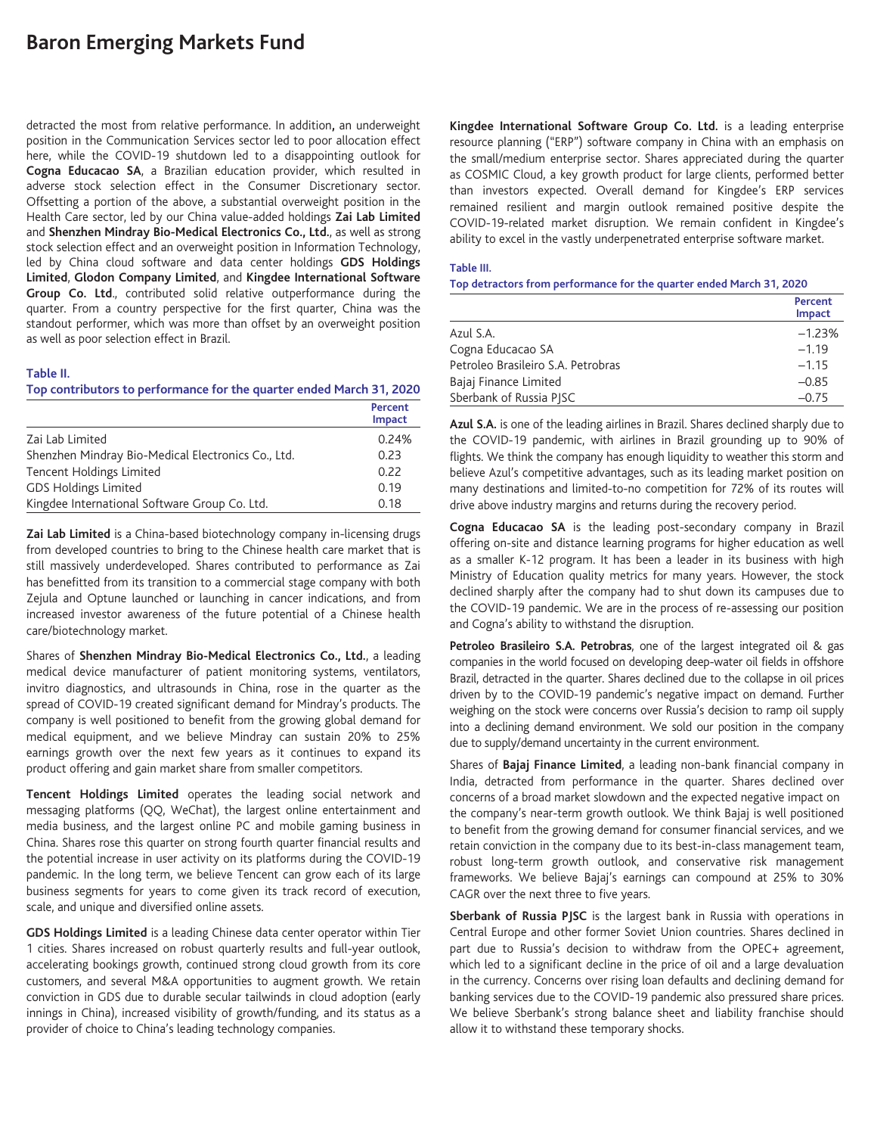# **Baron Emerging Markets Fund**

detracted the most from relative performance. In addition**,** an underweight position in the Communication Services sector led to poor allocation effect here, while the COVID-19 shutdown led to a disappointing outlook for **Cogna Educacao SA**, a Brazilian education provider, which resulted in adverse stock selection effect in the Consumer Discretionary sector. Offsetting a portion of the above, a substantial overweight position in the Health Care sector, led by our China value-added holdings **Zai Lab Limited** and **Shenzhen Mindray Bio-Medical Electronics Co., Ltd.**, as well as strong stock selection effect and an overweight position in Information Technology, led by China cloud software and data center holdings **GDS Holdings Limited**, **Glodon Company Limited**, and **Kingdee International Software Group Co. Ltd**., contributed solid relative outperformance during the quarter. From a country perspective for the first quarter, China was the standout performer, which was more than offset by an overweight position as well as poor selection effect in Brazil.

#### **Table II.**

**Top contributors to performance for the quarter ended March 31, 2020**

|                                                    | Percent<br>Impact |
|----------------------------------------------------|-------------------|
| Zai Lab Limited                                    | 0.24%             |
| Shenzhen Mindray Bio-Medical Electronics Co., Ltd. | 0.23              |
| <b>Tencent Holdings Limited</b>                    | 0.22              |
| <b>GDS Holdings Limited</b>                        | 0.19              |
| Kingdee International Software Group Co. Ltd.      | 0.18              |

**Zai Lab Limited** is a China-based biotechnology company in-licensing drugs from developed countries to bring to the Chinese health care market that is still massively underdeveloped. Shares contributed to performance as Zai has benefitted from its transition to a commercial stage company with both Zejula and Optune launched or launching in cancer indications, and from increased investor awareness of the future potential of a Chinese health care/biotechnology market.

Shares of **Shenzhen Mindray Bio-Medical Electronics Co., Ltd.**, a leading medical device manufacturer of patient monitoring systems, ventilators, invitro diagnostics, and ultrasounds in China, rose in the quarter as the spread of COVID-19 created significant demand for Mindray's products. The company is well positioned to benefit from the growing global demand for medical equipment, and we believe Mindray can sustain 20% to 25% earnings growth over the next few years as it continues to expand its product offering and gain market share from smaller competitors.

**Tencent Holdings Limited** operates the leading social network and messaging platforms (QQ, WeChat), the largest online entertainment and media business, and the largest online PC and mobile gaming business in China. Shares rose this quarter on strong fourth quarter financial results and the potential increase in user activity on its platforms during the COVID-19 pandemic. In the long term, we believe Tencent can grow each of its large business segments for years to come given its track record of execution, scale, and unique and diversified online assets.

**GDS Holdings Limited** is a leading Chinese data center operator within Tier 1 cities. Shares increased on robust quarterly results and full-year outlook, accelerating bookings growth, continued strong cloud growth from its core customers, and several M&A opportunities to augment growth. We retain conviction in GDS due to durable secular tailwinds in cloud adoption (early innings in China), increased visibility of growth/funding, and its status as a provider of choice to China's leading technology companies.

**Kingdee International Software Group Co. Ltd.** is a leading enterprise resource planning ("ERP") software company in China with an emphasis on the small/medium enterprise sector. Shares appreciated during the quarter as COSMIC Cloud, a key growth product for large clients, performed better than investors expected. Overall demand for Kingdee's ERP services remained resilient and margin outlook remained positive despite the COVID-19-related market disruption. We remain confident in Kingdee's ability to excel in the vastly underpenetrated enterprise software market.

#### **Table III.**

**Top detractors from performance for the quarter ended March 31, 2020**

|                                    | Percent<br>Impact |
|------------------------------------|-------------------|
| Azul S.A.                          | $-1.23%$          |
| Cogna Educacao SA                  | $-1.19$           |
| Petroleo Brasileiro S.A. Petrobras | $-1.15$           |
| Bajaj Finance Limited              | $-0.85$           |
| Sberbank of Russia PISC            | $-0.75$           |

**Azul S.A.** is one of the leading airlines in Brazil. Shares declined sharply due to the COVID-19 pandemic, with airlines in Brazil grounding up to 90% of flights. We think the company has enough liquidity to weather this storm and believe Azul's competitive advantages, such as its leading market position on many destinations and limited-to-no competition for 72% of its routes will drive above industry margins and returns during the recovery period.

**Cogna Educacao SA** is the leading post-secondary company in Brazil offering on-site and distance learning programs for higher education as well as a smaller K-12 program. It has been a leader in its business with high Ministry of Education quality metrics for many years. However, the stock declined sharply after the company had to shut down its campuses due to the COVID-19 pandemic. We are in the process of re-assessing our position and Cogna's ability to withstand the disruption.

**Petroleo Brasileiro S.A. Petrobras**, one of the largest integrated oil & gas companies in the world focused on developing deep-water oil fields in offshore Brazil, detracted in the quarter. Shares declined due to the collapse in oil prices driven by to the COVID-19 pandemic's negative impact on demand. Further weighing on the stock were concerns over Russia's decision to ramp oil supply into a declining demand environment. We sold our position in the company due to supply/demand uncertainty in the current environment.

Shares of **Bajaj Finance Limited**, a leading non-bank financial company in India, detracted from performance in the quarter. Shares declined over concerns of a broad market slowdown and the expected negative impact on the company's near-term growth outlook. We think Bajaj is well positioned to benefit from the growing demand for consumer financial services, and we retain conviction in the company due to its best-in-class management team, robust long-term growth outlook, and conservative risk management frameworks. We believe Bajaj's earnings can compound at 25% to 30% CAGR over the next three to five years.

**Sberbank of Russia PJSC** is the largest bank in Russia with operations in Central Europe and other former Soviet Union countries. Shares declined in part due to Russia's decision to withdraw from the OPEC+ agreement, which led to a significant decline in the price of oil and a large devaluation in the currency. Concerns over rising loan defaults and declining demand for banking services due to the COVID-19 pandemic also pressured share prices. We believe Sberbank's strong balance sheet and liability franchise should allow it to withstand these temporary shocks.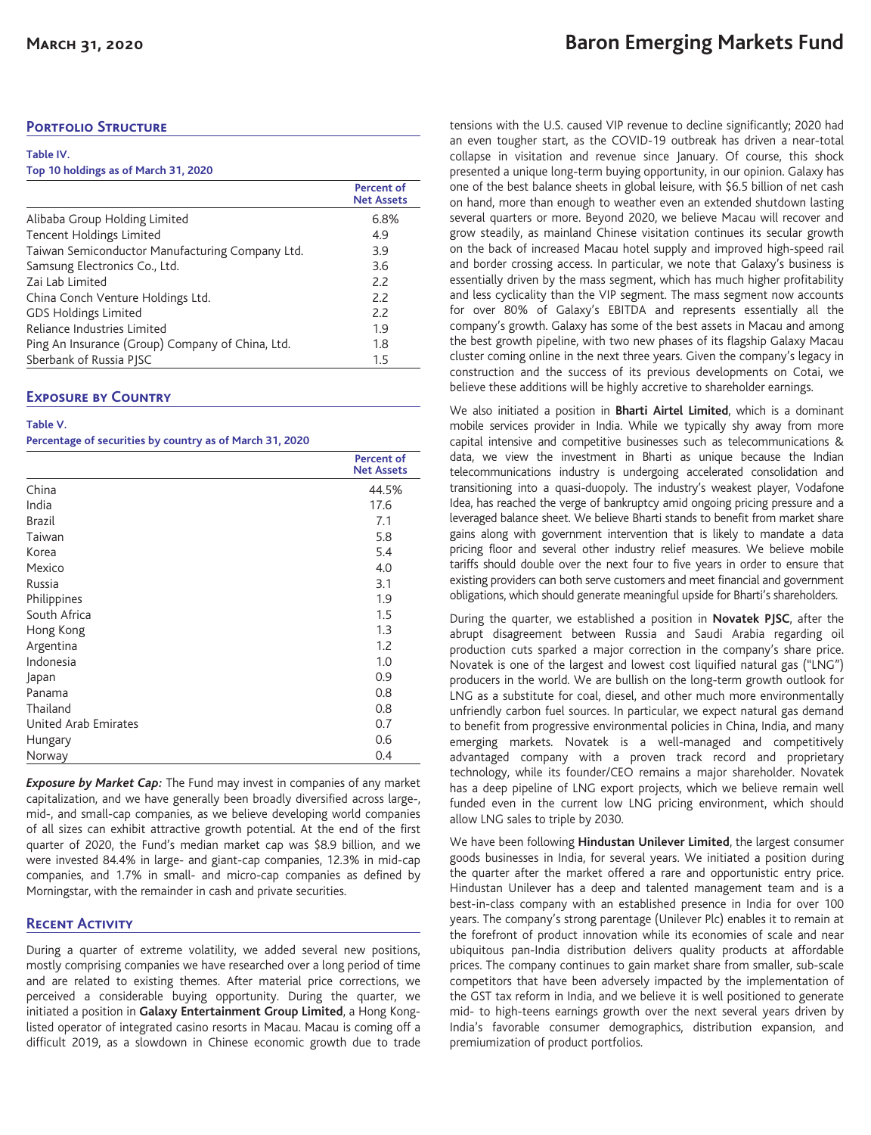# **Portfolio Structure**

| Table IV.                            |            |
|--------------------------------------|------------|
| Top 10 holdings as of March 31, 2020 |            |
|                                      | Percent of |

|                                                  | <b>Net Assets</b> |
|--------------------------------------------------|-------------------|
| Alibaba Group Holding Limited                    | 6.8%              |
| Tencent Holdings Limited                         | 4.9               |
| Taiwan Semiconductor Manufacturing Company Ltd.  | 3.9               |
| Samsung Electronics Co., Ltd.                    | 3.6               |
| Zai Lab Limited                                  | 2.2               |
| China Conch Venture Holdings Ltd.                | 2.2               |
| <b>GDS Holdings Limited</b>                      | 2.2               |
| Reliance Industries Limited                      | 1.9               |
| Ping An Insurance (Group) Company of China, Ltd. | 1.8               |
| Sberbank of Russia PJSC                          | 1.5               |

## **Exposure by Country**

#### **Table V.**

**Percentage of securities by country as of March 31, 2020**

|                      | <b>Percent of</b><br><b>Net Assets</b> |
|----------------------|----------------------------------------|
| China                | 44.5%                                  |
| India                | 17.6                                   |
| <b>Brazil</b>        | 7.1                                    |
| Taiwan               | 5.8                                    |
| Korea                | 5.4                                    |
| Mexico               | 4.0                                    |
| Russia               | 3.1                                    |
| Philippines          | 1.9                                    |
| South Africa         | 1.5                                    |
| Hong Kong            | 1.3                                    |
| Argentina            | 1.2                                    |
| Indonesia            | 1.0                                    |
| Japan                | 0.9                                    |
| Panama               | 0.8                                    |
| Thailand             | 0.8                                    |
| United Arab Emirates | 0.7                                    |
| Hungary              | 0.6                                    |
| Norway               | 0.4                                    |

*Exposure by Market Cap:* The Fund may invest in companies of any market capitalization, and we have generally been broadly diversified across large-, mid-, and small-cap companies, as we believe developing world companies of all sizes can exhibit attractive growth potential. At the end of the first quarter of 2020, the Fund's median market cap was \$8.9 billion, and we were invested 84.4% in large- and giant-cap companies, 12.3% in mid-cap companies, and 1.7% in small- and micro-cap companies as defined by Morningstar, with the remainder in cash and private securities.

# **Recent Activity**

During a quarter of extreme volatility, we added several new positions, mostly comprising companies we have researched over a long period of time and are related to existing themes. After material price corrections, we perceived a considerable buying opportunity. During the quarter, we initiated a position in **Galaxy Entertainment Group Limited**, a Hong Konglisted operator of integrated casino resorts in Macau. Macau is coming off a difficult 2019, as a slowdown in Chinese economic growth due to trade tensions with the U.S. caused VIP revenue to decline significantly; 2020 had an even tougher start, as the COVID-19 outbreak has driven a near-total collapse in visitation and revenue since January. Of course, this shock presented a unique long-term buying opportunity, in our opinion. Galaxy has one of the best balance sheets in global leisure, with \$6.5 billion of net cash on hand, more than enough to weather even an extended shutdown lasting several quarters or more. Beyond 2020, we believe Macau will recover and grow steadily, as mainland Chinese visitation continues its secular growth on the back of increased Macau hotel supply and improved high-speed rail and border crossing access. In particular, we note that Galaxy's business is essentially driven by the mass segment, which has much higher profitability and less cyclicality than the VIP segment. The mass segment now accounts for over 80% of Galaxy's EBITDA and represents essentially all the company's growth. Galaxy has some of the best assets in Macau and among the best growth pipeline, with two new phases of its flagship Galaxy Macau cluster coming online in the next three years. Given the company's legacy in construction and the success of its previous developments on Cotai, we believe these additions will be highly accretive to shareholder earnings.

We also initiated a position in **Bharti Airtel Limited**, which is a dominant mobile services provider in India. While we typically shy away from more capital intensive and competitive businesses such as telecommunications & data, we view the investment in Bharti as unique because the Indian telecommunications industry is undergoing accelerated consolidation and transitioning into a quasi-duopoly. The industry's weakest player, Vodafone Idea, has reached the verge of bankruptcy amid ongoing pricing pressure and a leveraged balance sheet. We believe Bharti stands to benefit from market share gains along with government intervention that is likely to mandate a data pricing floor and several other industry relief measures. We believe mobile tariffs should double over the next four to five years in order to ensure that existing providers can both serve customers and meet financial and government obligations, which should generate meaningful upside for Bharti's shareholders.

During the quarter, we established a position in **Novatek PJSC**, after the abrupt disagreement between Russia and Saudi Arabia regarding oil production cuts sparked a major correction in the company's share price. Novatek is one of the largest and lowest cost liquified natural gas ("LNG") producers in the world. We are bullish on the long-term growth outlook for LNG as a substitute for coal, diesel, and other much more environmentally unfriendly carbon fuel sources. In particular, we expect natural gas demand to benefit from progressive environmental policies in China, India, and many emerging markets. Novatek is a well-managed and competitively advantaged company with a proven track record and proprietary technology, while its founder/CEO remains a major shareholder. Novatek has a deep pipeline of LNG export projects, which we believe remain well funded even in the current low LNG pricing environment, which should allow LNG sales to triple by 2030.

We have been following **Hindustan Unilever Limited**, the largest consumer goods businesses in India, for several years. We initiated a position during the quarter after the market offered a rare and opportunistic entry price. Hindustan Unilever has a deep and talented management team and is a best-in-class company with an established presence in India for over 100 years. The company's strong parentage (Unilever Plc) enables it to remain at the forefront of product innovation while its economies of scale and near ubiquitous pan-India distribution delivers quality products at affordable prices. The company continues to gain market share from smaller, sub-scale competitors that have been adversely impacted by the implementation of the GST tax reform in India, and we believe it is well positioned to generate mid- to high-teens earnings growth over the next several years driven by India's favorable consumer demographics, distribution expansion, and premiumization of product portfolios.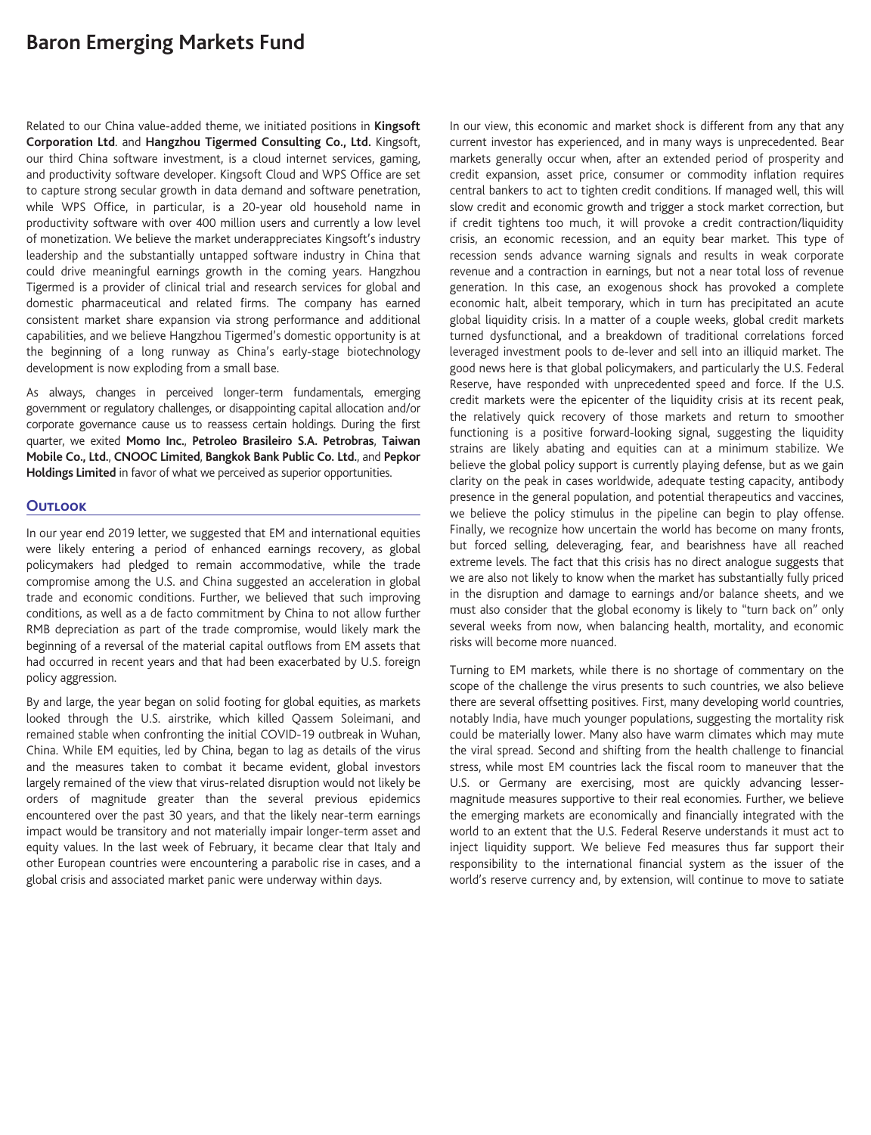# **Baron Emerging Markets Fund**

Related to our China value-added theme, we initiated positions in **Kingsoft Corporation Ltd**. and **Hangzhou Tigermed Consulting Co., Ltd.** Kingsoft, our third China software investment, is a cloud internet services, gaming, and productivity software developer. Kingsoft Cloud and WPS Office are set to capture strong secular growth in data demand and software penetration, while WPS Office, in particular, is a 20-year old household name in productivity software with over 400 million users and currently a low level of monetization. We believe the market underappreciates Kingsoft's industry leadership and the substantially untapped software industry in China that could drive meaningful earnings growth in the coming years. Hangzhou Tigermed is a provider of clinical trial and research services for global and domestic pharmaceutical and related firms. The company has earned consistent market share expansion via strong performance and additional capabilities, and we believe Hangzhou Tigermed's domestic opportunity is at the beginning of a long runway as China's early-stage biotechnology development is now exploding from a small base.

As always, changes in perceived longer-term fundamentals, emerging government or regulatory challenges, or disappointing capital allocation and/or corporate governance cause us to reassess certain holdings. During the first quarter, we exited **Momo Inc.**, **Petroleo Brasileiro S.A. Petrobras**, **Taiwan Mobile Co., Ltd.**, **CNOOC Limited**, **Bangkok Bank Public Co. Ltd.**, and **Pepkor Holdings Limited** in favor of what we perceived as superior opportunities.

## **Outlook**

In our year end 2019 letter, we suggested that EM and international equities were likely entering a period of enhanced earnings recovery, as global policymakers had pledged to remain accommodative, while the trade compromise among the U.S. and China suggested an acceleration in global trade and economic conditions. Further, we believed that such improving conditions, as well as a de facto commitment by China to not allow further RMB depreciation as part of the trade compromise, would likely mark the beginning of a reversal of the material capital outflows from EM assets that had occurred in recent years and that had been exacerbated by U.S. foreign policy aggression.

By and large, the year began on solid footing for global equities, as markets looked through the U.S. airstrike, which killed Qassem Soleimani, and remained stable when confronting the initial COVID-19 outbreak in Wuhan, China. While EM equities, led by China, began to lag as details of the virus and the measures taken to combat it became evident, global investors largely remained of the view that virus-related disruption would not likely be orders of magnitude greater than the several previous epidemics encountered over the past 30 years, and that the likely near-term earnings impact would be transitory and not materially impair longer-term asset and equity values. In the last week of February, it became clear that Italy and other European countries were encountering a parabolic rise in cases, and a global crisis and associated market panic were underway within days.

In our view, this economic and market shock is different from any that any current investor has experienced, and in many ways is unprecedented. Bear markets generally occur when, after an extended period of prosperity and credit expansion, asset price, consumer or commodity inflation requires central bankers to act to tighten credit conditions. If managed well, this will slow credit and economic growth and trigger a stock market correction, but if credit tightens too much, it will provoke a credit contraction/liquidity crisis, an economic recession, and an equity bear market. This type of recession sends advance warning signals and results in weak corporate revenue and a contraction in earnings, but not a near total loss of revenue generation. In this case, an exogenous shock has provoked a complete economic halt, albeit temporary, which in turn has precipitated an acute global liquidity crisis. In a matter of a couple weeks, global credit markets turned dysfunctional, and a breakdown of traditional correlations forced leveraged investment pools to de-lever and sell into an illiquid market. The good news here is that global policymakers, and particularly the U.S. Federal Reserve, have responded with unprecedented speed and force. If the U.S. credit markets were the epicenter of the liquidity crisis at its recent peak, the relatively quick recovery of those markets and return to smoother functioning is a positive forward-looking signal, suggesting the liquidity strains are likely abating and equities can at a minimum stabilize. We believe the global policy support is currently playing defense, but as we gain clarity on the peak in cases worldwide, adequate testing capacity, antibody presence in the general population, and potential therapeutics and vaccines, we believe the policy stimulus in the pipeline can begin to play offense. Finally, we recognize how uncertain the world has become on many fronts, but forced selling, deleveraging, fear, and bearishness have all reached extreme levels. The fact that this crisis has no direct analogue suggests that we are also not likely to know when the market has substantially fully priced in the disruption and damage to earnings and/or balance sheets, and we must also consider that the global economy is likely to "turn back on" only several weeks from now, when balancing health, mortality, and economic risks will become more nuanced.

Turning to EM markets, while there is no shortage of commentary on the scope of the challenge the virus presents to such countries, we also believe there are several offsetting positives. First, many developing world countries, notably India, have much younger populations, suggesting the mortality risk could be materially lower. Many also have warm climates which may mute the viral spread. Second and shifting from the health challenge to financial stress, while most EM countries lack the fiscal room to maneuver that the U.S. or Germany are exercising, most are quickly advancing lessermagnitude measures supportive to their real economies. Further, we believe the emerging markets are economically and financially integrated with the world to an extent that the U.S. Federal Reserve understands it must act to inject liquidity support. We believe Fed measures thus far support their responsibility to the international financial system as the issuer of the world's reserve currency and, by extension, will continue to move to satiate